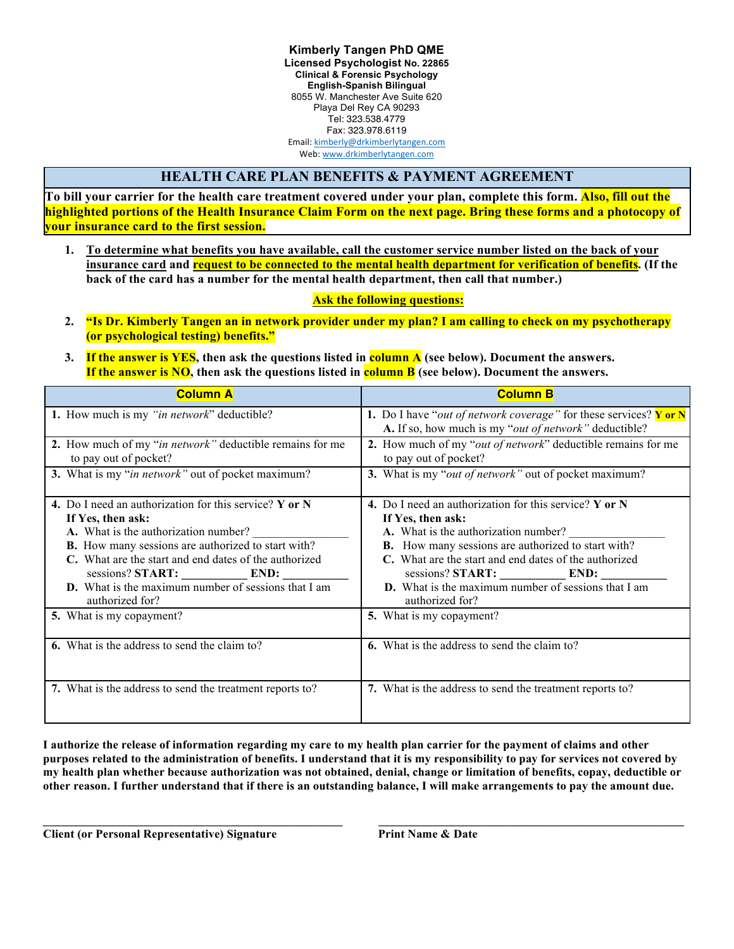**Kimberly Tangen PhD QME Licensed Psychologist No. 22865 Clinical & Forensic Psychology English-Spanish Bilingual** 8055 W. Manchester Ave Suite 620 Playa Del Rey CA 90293 Tel: 323.538.4779 Fax: 323.978.6119 Email: kimberly@drkimberlytangen.com

Web: www.drkimberlytangen.com

## **HEALTH CARE PLAN BENEFITS & PAYMENT AGREEMENT**

**To bill your carrier for the health care treatment covered under your plan, complete this form. Also, fill out the highlighted portions of the Health Insurance Claim Form on the next page. Bring these forms and a photocopy of your insurance card to the first session.**

**1. To determine what benefits you have available, call the customer service number listed on the back of your insurance card and request to be connected to the mental health department for verification of benefits. (If the back of the card has a number for the mental health department, then call that number.)**

## **Ask the following questions:**

- **2. "Is Dr. Kimberly Tangen an in network provider under my plan? I am calling to check on my psychotherapy (or psychological testing) benefits."**
- **3. If the answer is YES, then ask the questions listed in column A (see below). Document the answers. If the answer is NO, then ask the questions listed in column B (see below). Document the answers.**

| <b>Column A</b>                                                                                                                                                                                                                                                                                                                                                                     | <b>Column B</b>                                                                                                                                                                                                                                                                                                                                                                     |
|-------------------------------------------------------------------------------------------------------------------------------------------------------------------------------------------------------------------------------------------------------------------------------------------------------------------------------------------------------------------------------------|-------------------------------------------------------------------------------------------------------------------------------------------------------------------------------------------------------------------------------------------------------------------------------------------------------------------------------------------------------------------------------------|
| 1. How much is my "in network" deductible?                                                                                                                                                                                                                                                                                                                                          | 1. Do I have "out of network coverage" for these services? <b>Y</b> or N<br>A. If so, how much is my "out of network" deductible?                                                                                                                                                                                                                                                   |
| 2. How much of my " <i>in network</i> " deductible remains for me<br>to pay out of pocket?                                                                                                                                                                                                                                                                                          | 2. How much of my " <i>out of network</i> " deductible remains for me<br>to pay out of pocket?                                                                                                                                                                                                                                                                                      |
| 3. What is my "in network" out of pocket maximum?                                                                                                                                                                                                                                                                                                                                   | 3. What is my "out of network" out of pocket maximum?                                                                                                                                                                                                                                                                                                                               |
| 4. Do I need an authorization for this service? $Y$ or $N$<br>If Yes, then ask:<br>A. What is the authorization number?<br><b>B.</b> How many sessions are authorized to start with?<br>C. What are the start and end dates of the authorized<br>sessions? START: END:<br><b>D.</b> What is the maximum number of sessions that I am<br>authorized for?<br>5. What is my copayment? | 4. Do I need an authorization for this service? $Y$ or $N$<br>If Yes, then ask:<br>A. What is the authorization number?<br><b>B.</b> How many sessions are authorized to start with?<br>C. What are the start and end dates of the authorized<br>sessions? START: END:<br><b>D.</b> What is the maximum number of sessions that I am<br>authorized for?<br>5. What is my copayment? |
| 6. What is the address to send the claim to?                                                                                                                                                                                                                                                                                                                                        | <b>6.</b> What is the address to send the claim to?                                                                                                                                                                                                                                                                                                                                 |
| 7. What is the address to send the treatment reports to?                                                                                                                                                                                                                                                                                                                            | 7. What is the address to send the treatment reports to?                                                                                                                                                                                                                                                                                                                            |

**I authorize the release of information regarding my care to my health plan carrier for the payment of claims and other purposes related to the administration of benefits. I understand that it is my responsibility to pay for services not covered by my health plan whether because authorization was not obtained, denial, change or limitation of benefits, copay, deductible or other reason. I further understand that if there is an outstanding balance, I will make arrangements to pay the amount due.**

**\_\_\_\_\_\_\_\_\_\_\_\_\_\_\_\_\_\_\_\_\_\_\_\_\_\_\_\_\_\_\_\_\_\_\_\_\_\_\_\_\_\_\_\_\_\_\_\_\_\_ \_\_\_\_\_\_\_\_\_\_\_\_\_\_\_\_\_\_\_\_\_\_\_\_\_\_\_\_\_\_\_\_\_\_\_\_\_\_\_\_\_\_\_\_\_\_\_\_\_\_\_**

**Client (or Personal Representative) Signature Print Name & Date**